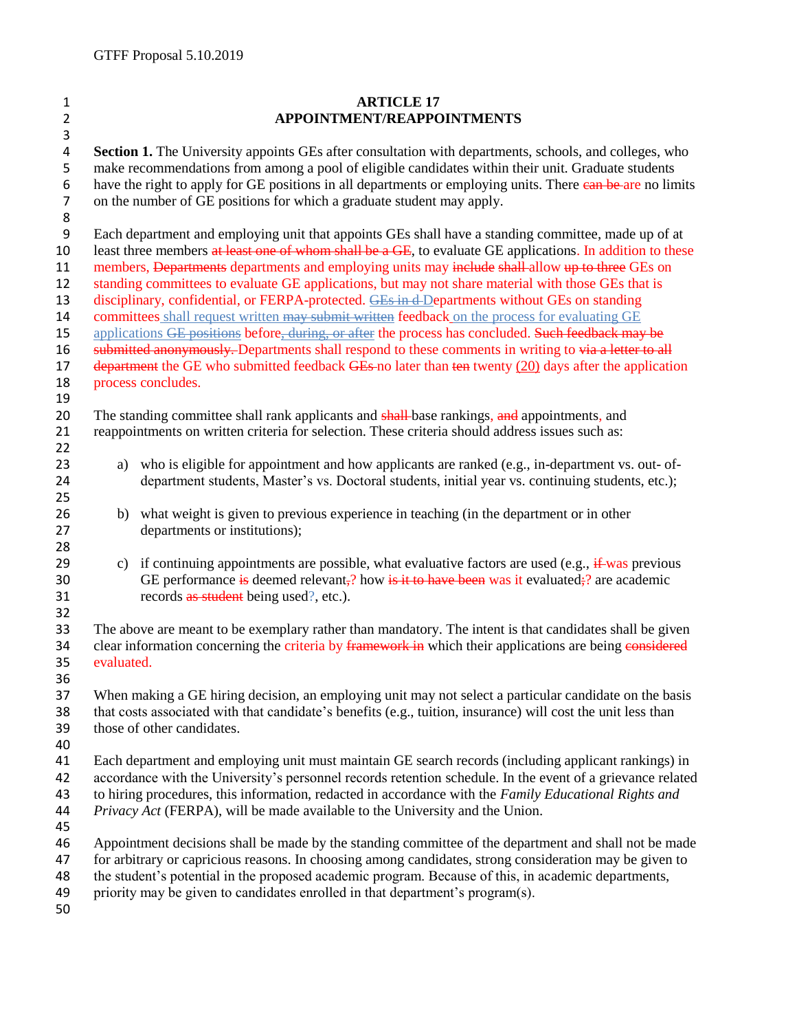| $\mathbf{1}$        | <b>ARTICLE 17</b>                                                                                                                                                                                                      |
|---------------------|------------------------------------------------------------------------------------------------------------------------------------------------------------------------------------------------------------------------|
| $\overline{2}$      | APPOINTMENT/REAPPOINTMENTS                                                                                                                                                                                             |
| 3                   |                                                                                                                                                                                                                        |
| 4                   | Section 1. The University appoints GEs after consultation with departments, schools, and colleges, who                                                                                                                 |
| 5                   | make recommendations from among a pool of eligible candidates within their unit. Graduate students                                                                                                                     |
| 6<br>$\overline{7}$ | have the right to apply for GE positions in all departments or employing units. There can be are no limits<br>on the number of GE positions for which a graduate student may apply.                                    |
| 8                   |                                                                                                                                                                                                                        |
| 9                   | Each department and employing unit that appoints GEs shall have a standing committee, made up of at                                                                                                                    |
| 10                  | least three members at least one of whom shall be a GE, to evaluate GE applications. In addition to these                                                                                                              |
| 11                  | members, Departments departments and employing units may include shall-allow up to three GEs on                                                                                                                        |
| 12                  | standing committees to evaluate GE applications, but may not share material with those GEs that is                                                                                                                     |
| 13                  | disciplinary, confidential, or FERPA-protected. GEs in d-Departments without GEs on standing                                                                                                                           |
| 14                  | committees shall request written may submit written feedback on the process for evaluating GE                                                                                                                          |
| 15                  | applications GE positions before, during, or after the process has concluded. Such feedback may be                                                                                                                     |
| 16                  | submitted anonymously. Departments shall respond to these comments in writing to via a letter to all                                                                                                                   |
| 17                  | $d$ -epartment the GE who submitted feedback GEs-no later than ten twenty $(20)$ days after the application                                                                                                            |
| 18                  | process concludes.                                                                                                                                                                                                     |
| 19                  |                                                                                                                                                                                                                        |
| 20                  | The standing committee shall rank applicants and shall-base rankings, and appointments, and                                                                                                                            |
| 21<br>22            | reappointments on written criteria for selection. These criteria should address issues such as:                                                                                                                        |
| 23                  | a) who is eligible for appointment and how applicants are ranked (e.g., in-department vs. out- of-                                                                                                                     |
| 24                  | department students, Master's vs. Doctoral students, initial year vs. continuing students, etc.);                                                                                                                      |
| 25                  |                                                                                                                                                                                                                        |
| 26                  | b) what weight is given to previous experience in teaching (in the department or in other                                                                                                                              |
| 27                  | departments or institutions);                                                                                                                                                                                          |
| 28                  |                                                                                                                                                                                                                        |
| 29                  | if continuing appointments are possible, what evaluative factors are used (e.g., $\frac{1}{2}$ was previous<br>c)                                                                                                      |
| 30                  | GE performance is deemed relevant,? how is it to have been was it evaluated;? are academic                                                                                                                             |
| 31                  | records as student being used?, etc.).                                                                                                                                                                                 |
| 32                  |                                                                                                                                                                                                                        |
| 33                  | The above are meant to be exemplary rather than mandatory. The intent is that candidates shall be given                                                                                                                |
| 34                  | clear information concerning the criteria by framework in which their applications are being considered                                                                                                                |
| 35                  | evaluated.                                                                                                                                                                                                             |
| 36<br>37            |                                                                                                                                                                                                                        |
| 38                  | When making a GE hiring decision, an employing unit may not select a particular candidate on the basis<br>that costs associated with that candidate's benefits (e.g., tuition, insurance) will cost the unit less than |
| 39                  | those of other candidates.                                                                                                                                                                                             |
| 40                  |                                                                                                                                                                                                                        |
| 41                  | Each department and employing unit must maintain GE search records (including applicant rankings) in                                                                                                                   |
| 42                  | accordance with the University's personnel records retention schedule. In the event of a grievance related                                                                                                             |
| 43                  | to hiring procedures, this information, redacted in accordance with the Family Educational Rights and                                                                                                                  |
| 44                  | Privacy Act (FERPA), will be made available to the University and the Union.                                                                                                                                           |
| 45                  |                                                                                                                                                                                                                        |
| 46                  | Appointment decisions shall be made by the standing committee of the department and shall not be made                                                                                                                  |
| 47                  | for arbitrary or capricious reasons. In choosing among candidates, strong consideration may be given to                                                                                                                |
| 48                  | the student's potential in the proposed academic program. Because of this, in academic departments,                                                                                                                    |
| 49<br>$\Gamma$      | priority may be given to candidates enrolled in that department's program(s).                                                                                                                                          |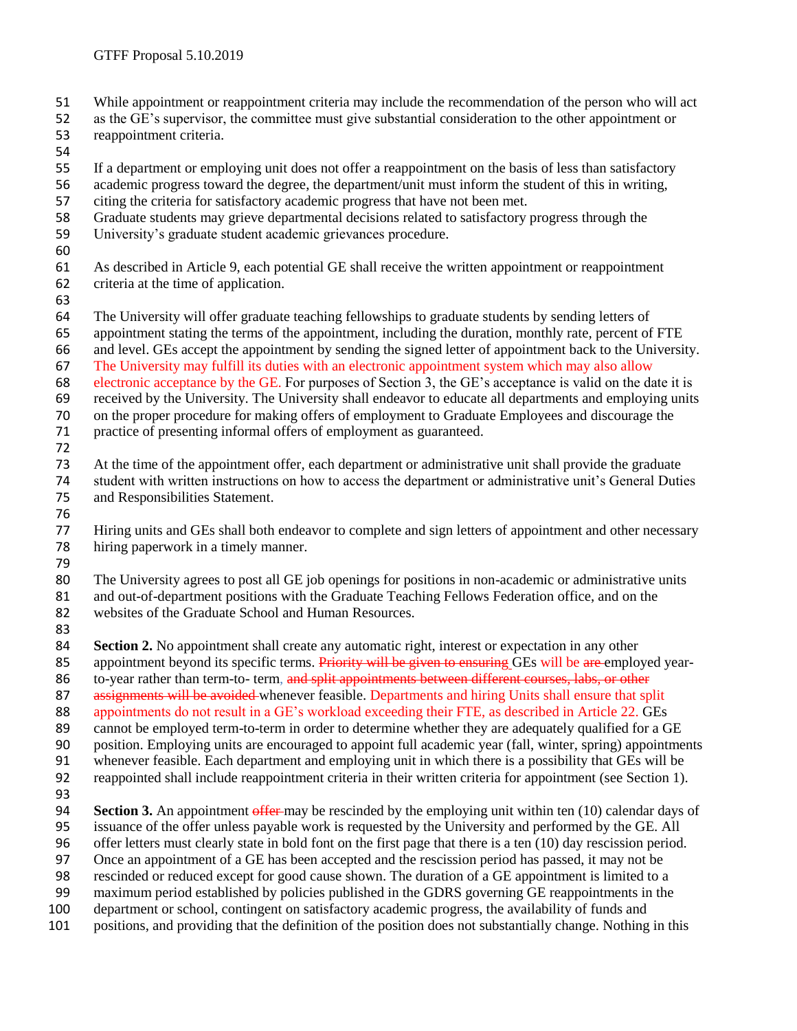- While appointment or reappointment criteria may include the recommendation of the person who will act
- as the GE's supervisor, the committee must give substantial consideration to the other appointment or reappointment criteria.
- 
- If a department or employing unit does not offer a reappointment on the basis of less than satisfactory
- academic progress toward the degree, the department/unit must inform the student of this in writing,
- citing the criteria for satisfactory academic progress that have not been met.
- Graduate students may grieve departmental decisions related to satisfactory progress through the
- University's graduate student academic grievances procedure.
- 
- As described in Article 9, each potential GE shall receive the written appointment or reappointment criteria at the time of application.
- 
- The University will offer graduate teaching fellowships to graduate students by sending letters of
- appointment stating the terms of the appointment, including the duration, monthly rate, percent of FTE
- and level. GEs accept the appointment by sending the signed letter of appointment back to the University.
- The University may fulfill its duties with an electronic appointment system which may also allow
- electronic acceptance by the GE. For purposes of Section 3, the GE's acceptance is valid on the date it is
- received by the University. The University shall endeavor to educate all departments and employing units on the proper procedure for making offers of employment to Graduate Employees and discourage the
- practice of presenting informal offers of employment as guaranteed.
	-
	- At the time of the appointment offer, each department or administrative unit shall provide the graduate student with written instructions on how to access the department or administrative unit's General Duties and Responsibilities Statement.
	-
	- Hiring units and GEs shall both endeavor to complete and sign letters of appointment and other necessary hiring paperwork in a timely manner.
	-

 The University agrees to post all GE job openings for positions in non-academic or administrative units and out-of-department positions with the Graduate Teaching Fellows Federation office, and on the websites of the Graduate School and Human Resources.

**Section 2.** No appointment shall create any automatic right, interest or expectation in any other 85 appointment beyond its specific terms. Priority will be given to ensuring GEs will be are employed year-

- 86 to-year rather than term-to- term, and split appointments between different courses, labs, or other
- 87 assignments will be avoided whenever feasible. Departments and hiring Units shall ensure that split

appointments do not result in a GE's workload exceeding their FTE, as described in Article 22. GEs

- 
- 89 cannot be employed term-to-term in order to determine whether they are adequately qualified for a GE<br>90 position. Employing units are encouraged to appoint full academic year (fall, winter, spring) appointme position. Employing units are encouraged to appoint full academic year (fall, winter, spring) appointments
- whenever feasible. Each department and employing unit in which there is a possibility that GEs will be
- reappointed shall include reappointment criteria in their written criteria for appointment (see Section 1).
- 

**Section 3.** An appointment offer may be rescinded by the employing unit within ten (10) calendar days of

- issuance of the offer unless payable work is requested by the University and performed by the GE. All
- offer letters must clearly state in bold font on the first page that there is a ten (10) day rescission period.
- Once an appointment of a GE has been accepted and the rescission period has passed, it may not be rescinded or reduced except for good cause shown. The duration of a GE appointment is limited to a
- maximum period established by policies published in the GDRS governing GE reappointments in the
- department or school, contingent on satisfactory academic progress, the availability of funds and
- positions, and providing that the definition of the position does not substantially change. Nothing in this